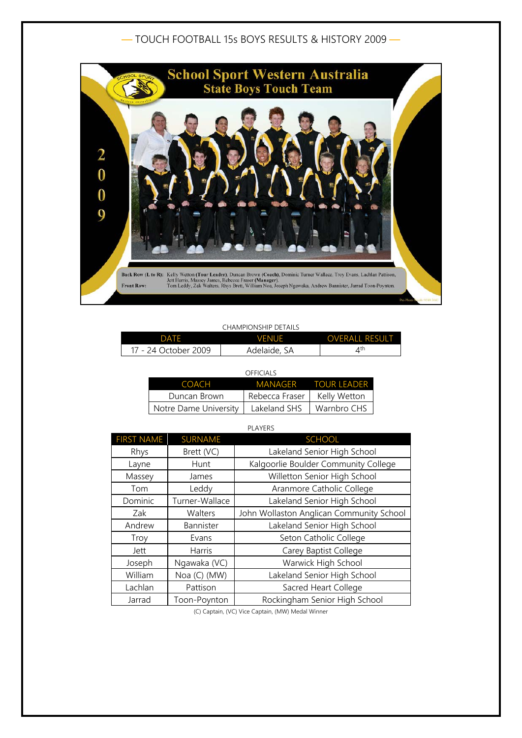## — TOUCH FOOTBALL 15s BOYS RESULTS & HISTORY 2009 —



## CHAMPIONSHIP DETAILS

| DATF                 | <b>VENUE</b> | <b>OVERALL RESULT</b> |
|----------------------|--------------|-----------------------|
| 17 - 24 October 2009 | Adelaide, SA | ⊿th                   |

| OFFICIALS             |                |                     |  |
|-----------------------|----------------|---------------------|--|
| <b>COACH</b>          |                | MANAGER TOUR LEADER |  |
| Duncan Brown          | Rebecca Fraser | Kelly Wetton        |  |
| Notre Dame University | Lakeland SHS   | Warnbro CHS         |  |

PLAYERS

| <b>FIRST NAME</b> | <b>SURNAME</b> | <b>SCHOOL</b>                            |
|-------------------|----------------|------------------------------------------|
| Rhys              | Brett (VC)     | Lakeland Senior High School              |
| Layne             | Hunt           | Kalgoorlie Boulder Community College     |
| Massey            | James          | Willetton Senior High School             |
| Tom               | Leddy          | Aranmore Catholic College                |
| Dominic           | Turner-Wallace | Lakeland Senior High School              |
| Zak               | Walters        | John Wollaston Anglican Community School |
| Andrew            | Bannister      | Lakeland Senior High School              |
| Troy              | Evans          | Seton Catholic College                   |
| Jett              | Harris         | Carey Baptist College                    |
| Joseph            | Ngawaka (VC)   | Warwick High School                      |
| William           | Noa (C) (MW)   | Lakeland Senior High School              |
| Lachlan           | Pattison       | Sacred Heart College                     |
| Jarrad            | Toon-Poynton   | Rockingham Senior High School            |

(C) Captain, (VC) Vice Captain, (MW) Medal Winner